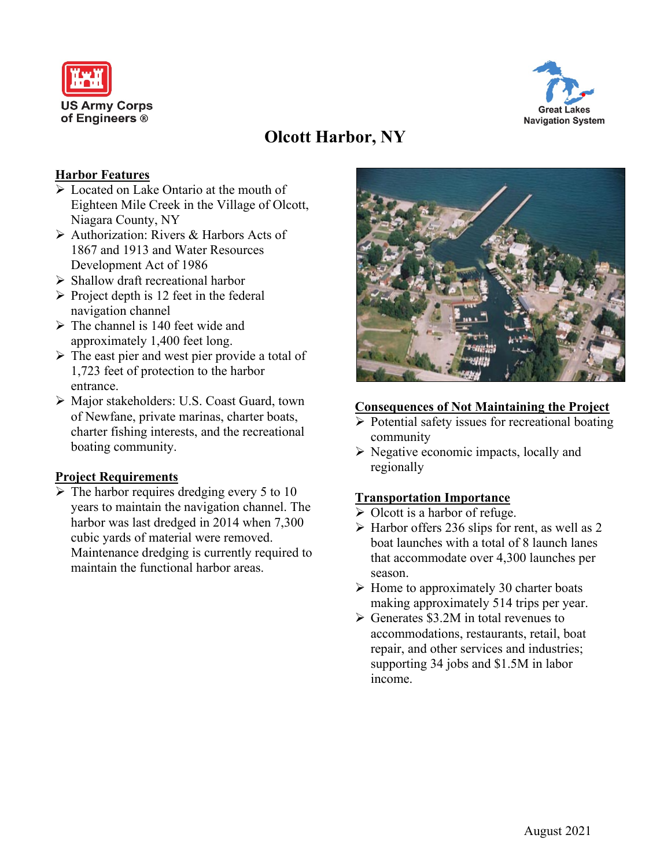



# **Olcott Harbor, NY**

# **Harbor Features**

- Located on Lake Ontario at the mouth of Eighteen Mile Creek in the Village of Olcott, Niagara County, NY
- Authorization: Rivers & Harbors Acts of 1867 and 1913 and Water Resources Development Act of 1986
- $\triangleright$  Shallow draft recreational harbor
- $\triangleright$  Project depth is 12 feet in the federal navigation channel
- $\triangleright$  The channel is 140 feet wide and approximately 1,400 feet long.
- $\triangleright$  The east pier and west pier provide a total of 1,723 feet of protection to the harbor entrance.
- Major stakeholders: U.S. Coast Guard, town of Newfane, private marinas, charter boats, charter fishing interests, and the recreational boating community.

## **Project Requirements**

 $\triangleright$  The harbor requires dredging every 5 to 10 years to maintain the navigation channel. The harbor was last dredged in 2014 when 7,300 cubic yards of material were removed. Maintenance dredging is currently required to maintain the functional harbor areas.



#### **Consequences of Not Maintaining the Project**

- $\triangleright$  Potential safety issues for recreational boating community
- $\triangleright$  Negative economic impacts, locally and regionally

## **Transportation Importance**

- $\triangleright$  Olcott is a harbor of refuge.
- $\triangleright$  Harbor offers 236 slips for rent, as well as 2 boat launches with a total of 8 launch lanes that accommodate over 4,300 launches per season.
- $\triangleright$  Home to approximately 30 charter boats making approximately 514 trips per year.
- $\triangleright$  Generates \$3.2M in total revenues to accommodations, restaurants, retail, boat repair, and other services and industries; supporting 34 jobs and \$1.5M in labor income.